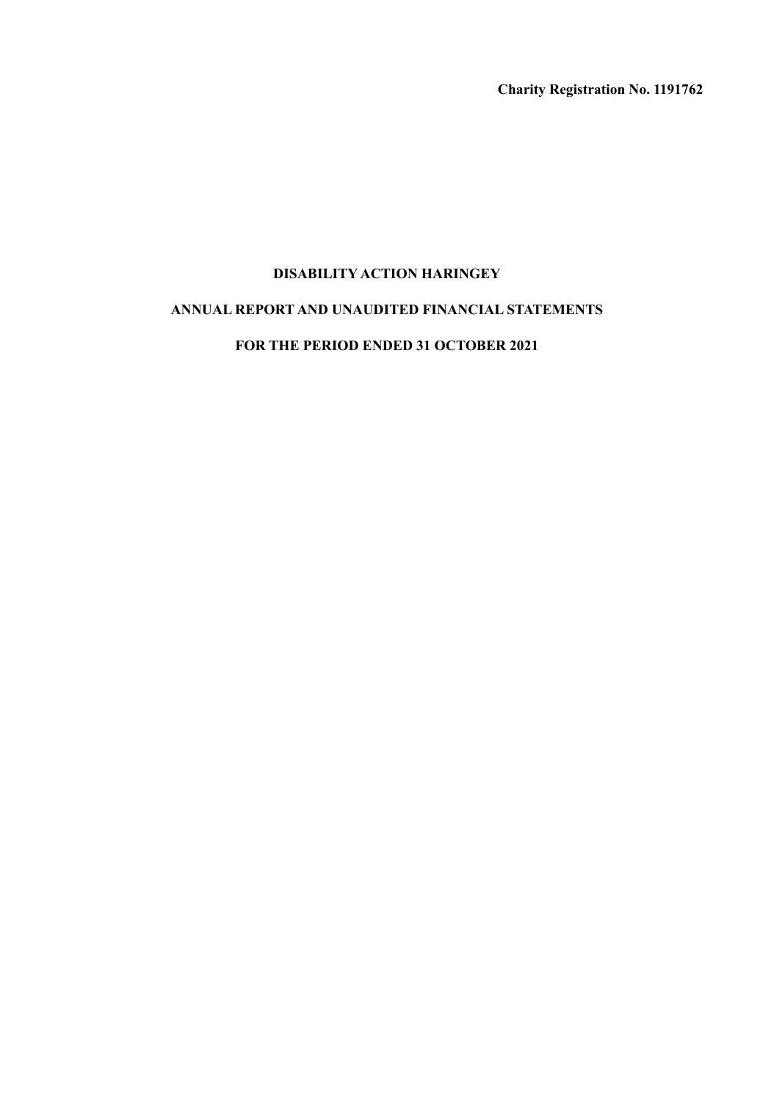**Charity Registration No. 1191762**

# **DISABILITY ACTION HARINGEY**

# **ANNUAL REPORT AND UNAUDITED FINANCIAL STATEMENTS**

## **FOR THE PERIOD ENDED 31 OCTOBER 2021**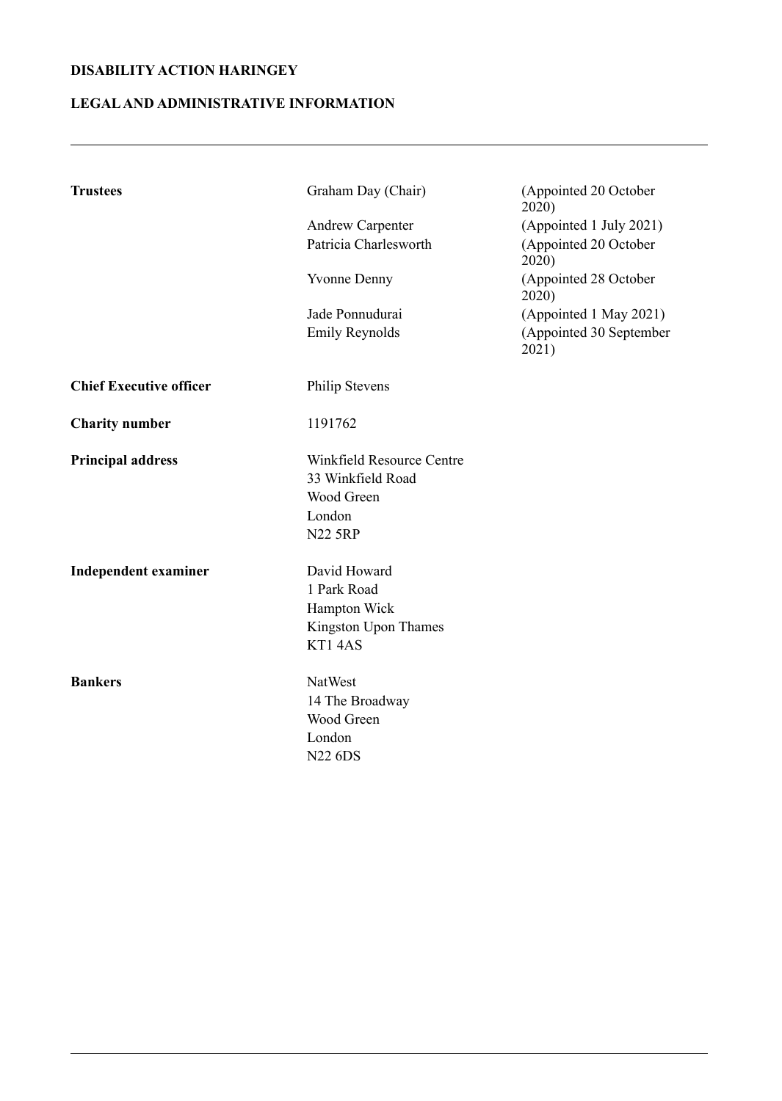# **LEGALAND ADMINISTRATIVE INFORMATION**

| <b>Trustees</b>                | Graham Day (Chair)               | (Appointed 20 October<br>2020)   |
|--------------------------------|----------------------------------|----------------------------------|
|                                | <b>Andrew Carpenter</b>          | (Appointed 1 July 2021)          |
|                                | Patricia Charlesworth            | (Appointed 20 October<br>2020)   |
|                                | <b>Yvonne Denny</b>              | (Appointed 28 October<br>2020)   |
|                                | Jade Ponnudurai                  | (Appointed 1 May 2021)           |
|                                | <b>Emily Reynolds</b>            | (Appointed 30 September<br>2021) |
| <b>Chief Executive officer</b> | <b>Philip Stevens</b>            |                                  |
| <b>Charity number</b>          | 1191762                          |                                  |
| <b>Principal address</b>       | <b>Winkfield Resource Centre</b> |                                  |
|                                | 33 Winkfield Road                |                                  |
|                                | Wood Green                       |                                  |
|                                | London                           |                                  |
|                                | <b>N22 5RP</b>                   |                                  |
| <b>Independent examiner</b>    | David Howard                     |                                  |
|                                | 1 Park Road                      |                                  |
|                                | Hampton Wick                     |                                  |
|                                | Kingston Upon Thames             |                                  |
|                                | KT14AS                           |                                  |
| <b>Bankers</b>                 | NatWest                          |                                  |
|                                | 14 The Broadway                  |                                  |
|                                | Wood Green                       |                                  |
|                                | London                           |                                  |
|                                | <b>N22 6DS</b>                   |                                  |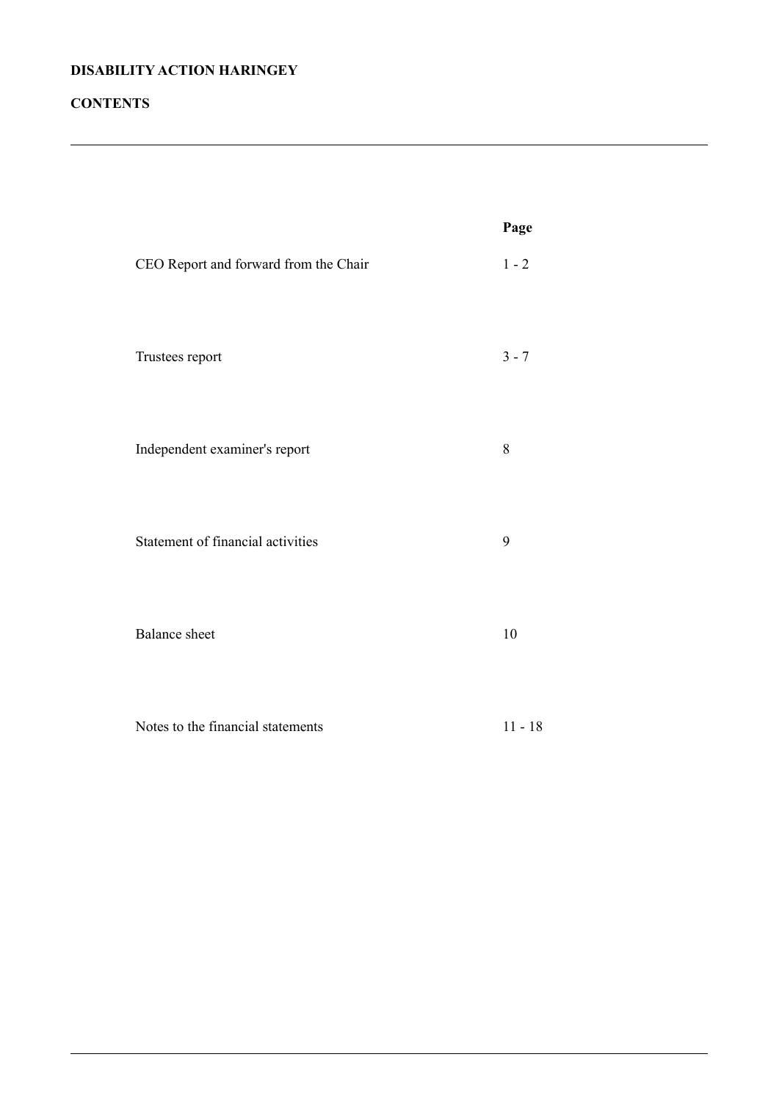# **CONTENTS**

|                                       | Page      |
|---------------------------------------|-----------|
| CEO Report and forward from the Chair | $1 - 2$   |
| Trustees report                       | $3 - 7$   |
| Independent examiner's report         | 8         |
| Statement of financial activities     | 9         |
| <b>Balance</b> sheet                  | 10        |
| Notes to the financial statements     | $11 - 18$ |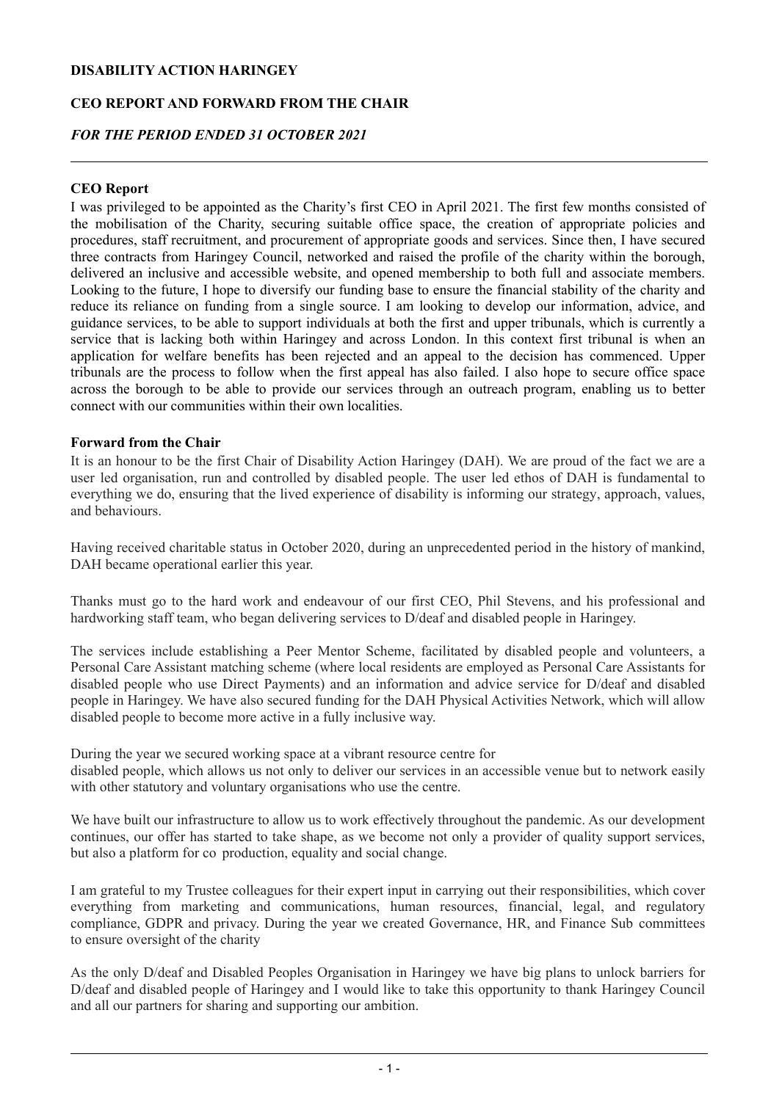## **CEO REPORT AND FORWARD FROM THE CHAIR**

## *FOR THE PERIOD ENDED 31 OCTOBER 2021*

## **CEO Report**

I was privileged to be appointed as the Charity's first CEO in April 2021. The first few months consisted of the mobilisation of the Charity, securing suitable office space, the creation of appropriate policies and procedures, staff recruitment, and procurement of appropriate goods and services. Since then, I have secured three contracts from Haringey Council, networked and raised the profile of the charity within the borough, delivered an inclusive and accessible website, and opened membership to both full and associate members. Looking to the future, I hope to diversify our funding base to ensure the financial stability of the charity and reduce its reliance on funding from a single source. I am looking to develop our information, advice, and guidance services, to be able to support individuals at both the first and upper tribunals, which is currently a service that is lacking both within Haringey and across London. In this context first tribunal is when an application for welfare benefits has been rejected and an appeal to the decision has commenced. Upper tribunals are the process to follow when the first appeal has also failed. I also hope to secure office space across the borough to be able to provide our services through an outreach program, enabling us to better connect with our communities within their own localities.

## **Forward from the Chair**

It is an honour to be the first Chair of Disability Action Haringey (DAH). We are proud of the fact we are a user led organisation, run and controlled by disabled people. The user led ethos of DAH is fundamental to everything we do, ensuring that the lived experience of disability is informing our strategy, approach, values, and behaviours.

Having received charitable status in October 2020, during an unprecedented period in the history of mankind, DAH became operational earlier this year.

Thanks must go to the hard work and endeavour of our first CEO, Phil Stevens, and his professional and hardworking staff team, who began delivering services to D/deaf and disabled people in Haringey.

The services include establishing a Peer Mentor Scheme, facilitated by disabled people and volunteers, a Personal Care Assistant matching scheme (where local residents are employed as Personal Care Assistants for disabled people who use Direct Payments) and an information and advice service for D/deaf and disabled people in Haringey. We have also secured funding for the DAH Physical Activities Network, which will allow disabled people to become more active in a fully inclusive way.

During the year we secured working space at a vibrant resource centre for disabled people, which allows us not only to deliver our services in an accessible venue but to network easily with other statutory and voluntary organisations who use the centre.

We have built our infrastructure to allow us to work effectively throughout the pandemic. As our development continues, our offer has started to take shape, as we become not only a provider of quality support services, but also a platform for co production, equality and social change.

I am grateful to my Trustee colleagues for their expert input in carrying out their responsibilities, which cover everything from marketing and communications, human resources, financial, legal, and regulatory compliance, GDPR and privacy. During the year we created Governance, HR, and Finance Sub committees to ensure oversight of the charity

As the only D/deaf and Disabled Peoples Organisation in Haringey we have big plans to unlock barriers for D/deaf and disabled people of Haringey and I would like to take this opportunity to thank Haringey Council and all our partners for sharing and supporting our ambition.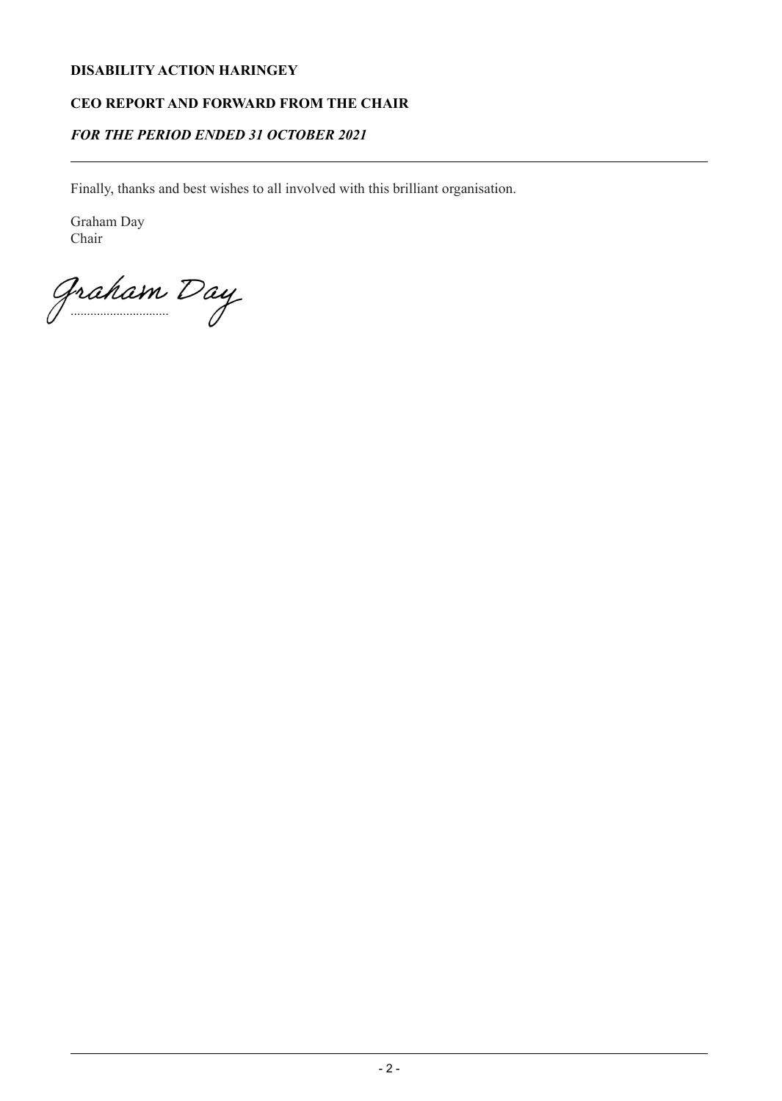## **CEO REPORT AND FORWARD FROM THE CHAIR**

## *FOR THE PERIOD ENDED 31 OCTOBER 2021*

Finally, thanks and best wishes to all involved with this brilliant organisation.

Graham Day Chair

Graham Day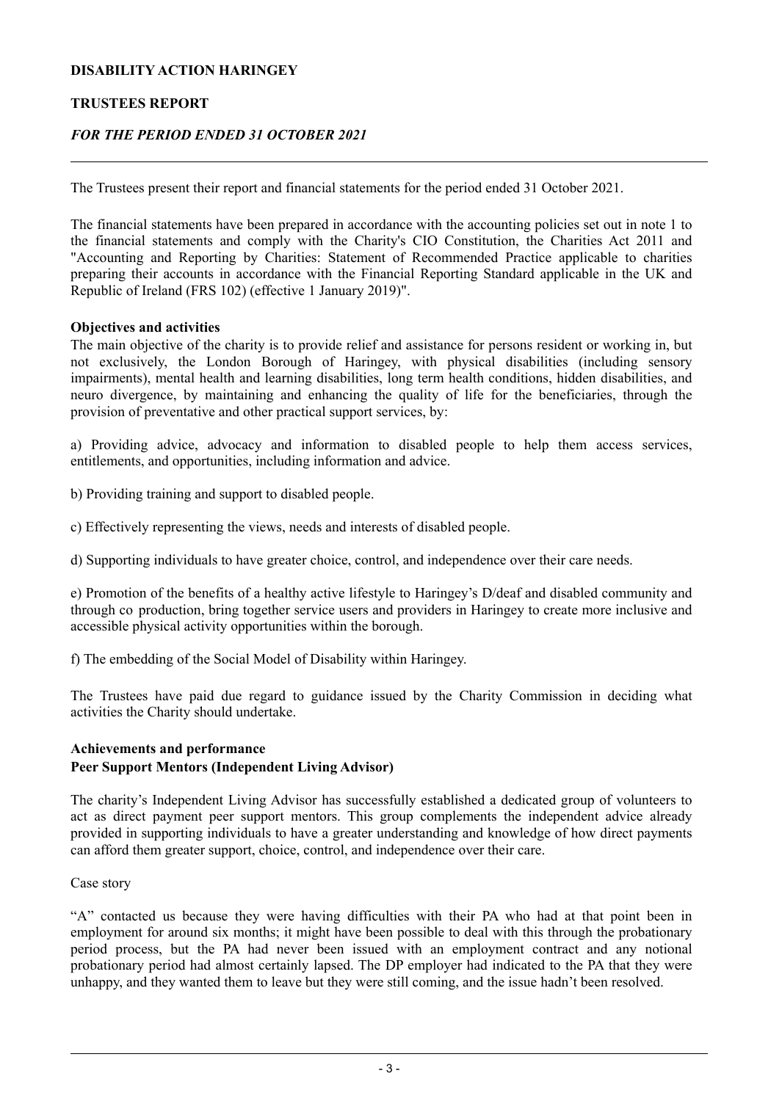## **TRUSTEES REPORT**

## *FOR THE PERIOD ENDED 31 OCTOBER 2021*

The Trustees present their report and financial statements for the period ended 31 October 2021.

The financial statements have been prepared in accordance with the accounting policies set out in note 1 to the financial statements and comply with the Charity's CIO Constitution, the Charities Act 2011 and "Accounting and Reporting by Charities: Statement of Recommended Practice applicable to charities preparing their accounts in accordance with the Financial Reporting Standard applicable in the UK and Republic of Ireland (FRS 102) (effective 1 January 2019)".

#### **Objectives and activities**

The main objective of the charity is to provide relief and assistance for persons resident or working in, but not exclusively, the London Borough of Haringey, with physical disabilities (including sensory impairments), mental health and learning disabilities, long term health conditions, hidden disabilities, and neuro divergence, by maintaining and enhancing the quality of life for the beneficiaries, through the provision of preventative and other practical support services, by:

a) Providing advice, advocacy and information to disabled people to help them access services, entitlements, and opportunities, including information and advice.

b) Providing training and support to disabled people.

c) Effectively representing the views, needs and interests of disabled people.

d) Supporting individuals to have greater choice, control, and independence over their care needs.

e) Promotion of the benefits of a healthy active lifestyle to Haringey's D/deaf and disabled community and through co production, bring together service users and providers in Haringey to create more inclusive and accessible physical activity opportunities within the borough.

f) The embedding of the Social Model of Disability within Haringey.

The Trustees have paid due regard to guidance issued by the Charity Commission in deciding what activities the Charity should undertake.

# **Achievements and performance Peer Support Mentors (Independent Living Advisor)**

The charity's Independent Living Advisor has successfully established a dedicated group of volunteers to act as direct payment peer support mentors. This group complements the independent advice already provided in supporting individuals to have a greater understanding and knowledge of how direct payments can afford them greater support, choice, control, and independence over their care.

Case story

"A" contacted us because they were having difficulties with their PA who had at that point been in employment for around six months; it might have been possible to deal with this through the probationary period process, but the PA had never been issued with an employment contract and any notional probationary period had almost certainly lapsed. The DP employer had indicated to the PA that they were unhappy, and they wanted them to leave but they were still coming, and the issue hadn't been resolved.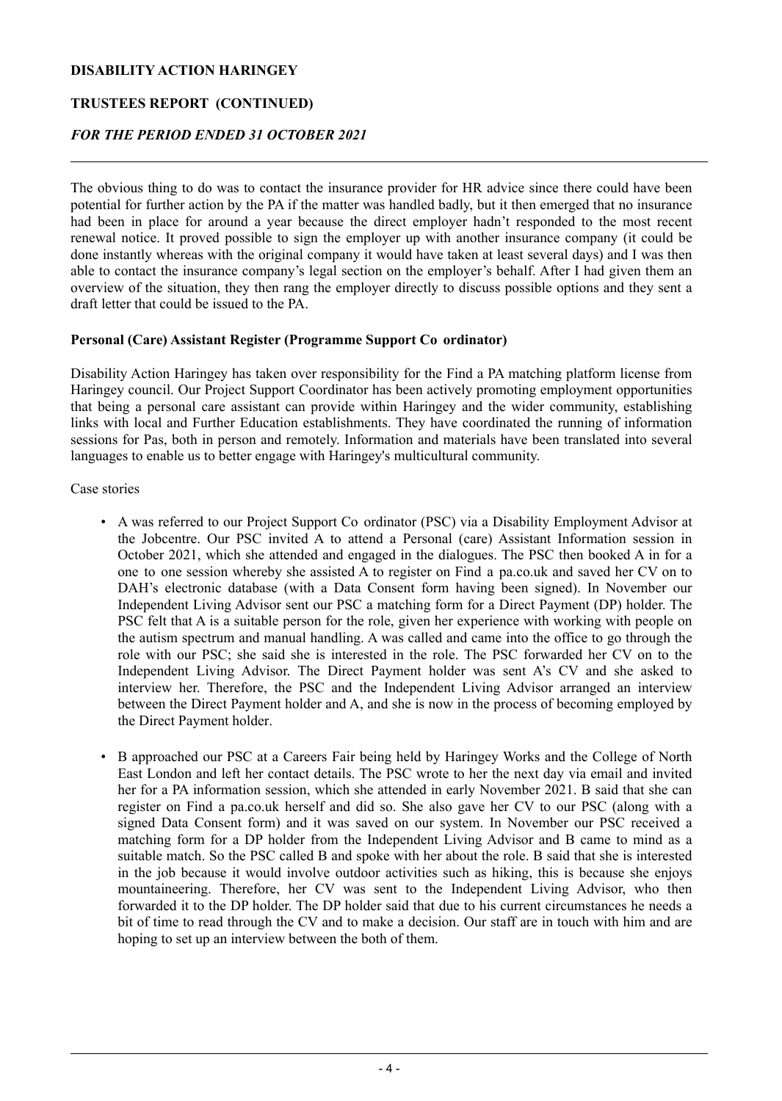## **TRUSTEES REPORT (CONTINUED)**

# *FOR THE PERIOD ENDED 31 OCTOBER 2021*

The obvious thing to do was to contact the insurance provider for HR advice since there could have been potential for further action by the PA if the matter was handled badly, but it then emerged that no insurance had been in place for around a year because the direct employer hadn't responded to the most recent renewal notice. It proved possible to sign the employer up with another insurance company (it could be done instantly whereas with the original company it would have taken at least several days) and I was then able to contact the insurance company's legal section on the employer's behalf. After I had given them an overview of the situation, they then rang the employer directly to discuss possible options and they sent a draft letter that could be issued to the PA.

## **Personal (Care) Assistant Register (Programme Support Co ordinator)**

Disability Action Haringey has taken over responsibility for the Find a PA matching platform license from Haringey council. Our Project Support Coordinator has been actively promoting employment opportunities that being a personal care assistant can provide within Haringey and the wider community, establishing links with local and Further Education establishments. They have coordinated the running of information sessions for Pas, both in person and remotely. Information and materials have been translated into several languages to enable us to better engage with Haringey's multicultural community.

Case stories

- A was referred to our Project Support Co ordinator (PSC) via a Disability Employment Advisor at the Jobcentre. Our PSC invited A to attend a Personal (care) Assistant Information session in October 2021, which she attended and engaged in the dialogues. The PSC then booked A in for a one to one session whereby she assisted A to register on Find a pa.co.uk and saved her CV on to DAH's electronic database (with a Data Consent form having been signed). In November our Independent Living Advisor sent our PSC a matching form for a Direct Payment (DP) holder. The PSC felt that A is a suitable person for the role, given her experience with working with people on the autism spectrum and manual handling. A was called and came into the office to go through the role with our PSC; she said she is interested in the role. The PSC forwarded her CV on to the Independent Living Advisor. The Direct Payment holder was sent A's CV and she asked to interview her. Therefore, the PSC and the Independent Living Advisor arranged an interview between the Direct Payment holder and A, and she is now in the process of becoming employed by the Direct Payment holder.
- B approached our PSC at a Careers Fair being held by Haringey Works and the College of North East London and left her contact details. The PSC wrote to her the next day via email and invited her for a PA information session, which she attended in early November 2021. B said that she can register on Find a pa.co.uk herself and did so. She also gave her CV to our PSC (along with a signed Data Consent form) and it was saved on our system. In November our PSC received a matching form for a DP holder from the Independent Living Advisor and B came to mind as a suitable match. So the PSC called B and spoke with her about the role. B said that she is interested in the job because it would involve outdoor activities such as hiking, this is because she enjoys mountaineering. Therefore, her CV was sent to the Independent Living Advisor, who then forwarded it to the DP holder. The DP holder said that due to his current circumstances he needs a bit of time to read through the CV and to make a decision. Our staff are in touch with him and are hoping to set up an interview between the both of them.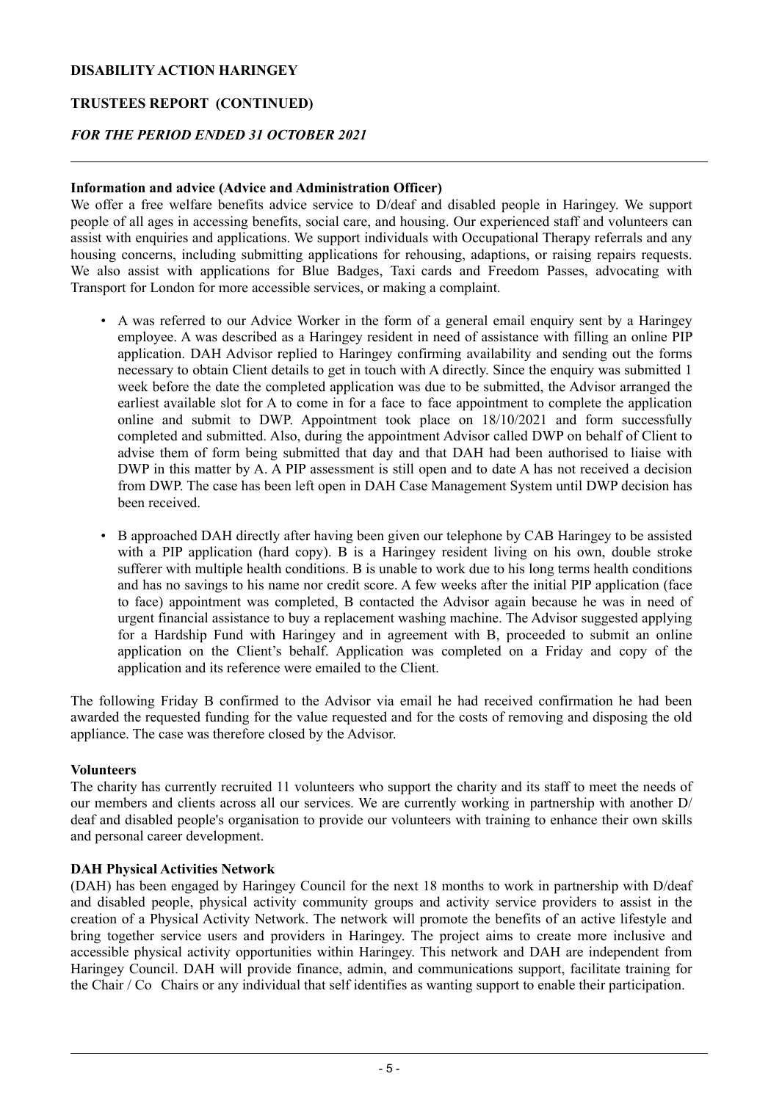## **TRUSTEES REPORT (CONTINUED)**

## *FOR THE PERIOD ENDED 31 OCTOBER 2021*

## **Information and advice (Advice and Administration Officer)**

We offer a free welfare benefits advice service to D/deaf and disabled people in Haringey. We support people of all ages in accessing benefits, social care, and housing. Our experienced staff and volunteers can assist with enquiries and applications. We support individuals with Occupational Therapy referrals and any housing concerns, including submitting applications for rehousing, adaptions, or raising repairs requests. We also assist with applications for Blue Badges, Taxi cards and Freedom Passes, advocating with Transport for London for more accessible services, or making a complaint.

- A was referred to our Advice Worker in the form of a general email enquiry sent by a Haringey employee. A was described as a Haringey resident in need of assistance with filling an online PIP application. DAH Advisor replied to Haringey confirming availability and sending out the forms necessary to obtain Client details to get in touch with A directly. Since the enquiry was submitted 1 week before the date the completed application was due to be submitted, the Advisor arranged the earliest available slot for A to come in for a face to face appointment to complete the application online and submit to DWP. Appointment took place on 18/10/2021 and form successfully completed and submitted. Also, during the appointment Advisor called DWP on behalf of Client to advise them of form being submitted that day and that DAH had been authorised to liaise with DWP in this matter by A. A PIP assessment is still open and to date A has not received a decision from DWP. The case has been left open in DAH Case Management System until DWP decision has been received.
- B approached DAH directly after having been given our telephone by CAB Haringey to be assisted with a PIP application (hard copy). B is a Haringey resident living on his own, double stroke sufferer with multiple health conditions. B is unable to work due to his long terms health conditions and has no savings to his name nor credit score. A few weeks after the initial PIP application (face to face) appointment was completed, B contacted the Advisor again because he was in need of urgent financial assistance to buy a replacement washing machine. The Advisor suggested applying for a Hardship Fund with Haringey and in agreement with B, proceeded to submit an online application on the Client's behalf. Application was completed on a Friday and copy of the application and its reference were emailed to the Client.

The following Friday B confirmed to the Advisor via email he had received confirmation he had been awarded the requested funding for the value requested and for the costs of removing and disposing the old appliance. The case was therefore closed by the Advisor.

## **Volunteers**

The charity has currently recruited 11 volunteers who support the charity and its staff to meet the needs of our members and clients across all our services. We are currently working in partnership with another D/ deaf and disabled people's organisation to provide our volunteers with training to enhance their own skills and personal career development.

#### **DAH Physical Activities Network**

(DAH) has been engaged by Haringey Council for the next 18 months to work in partnership with D/deaf and disabled people, physical activity community groups and activity service providers to assist in the creation of a Physical Activity Network. The network will promote the benefits of an active lifestyle and bring together service users and providers in Haringey. The project aims to create more inclusive and accessible physical activity opportunities within Haringey. This network and DAH are independent from Haringey Council. DAH will provide finance, admin, and communications support, facilitate training for the Chair / Co Chairs or any individual that self identifies as wanting support to enable their participation.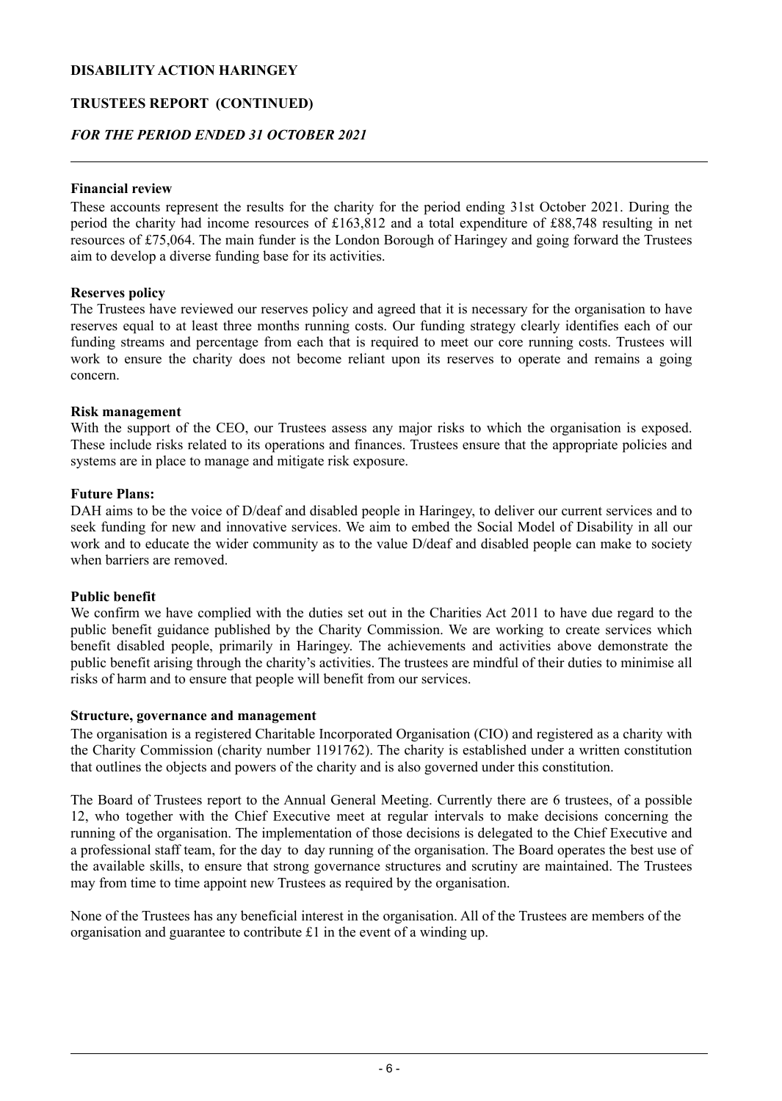## **TRUSTEES REPORT (CONTINUED)**

## *FOR THE PERIOD ENDED 31 OCTOBER 2021*

### **Financial review**

These accounts represent the results for the charity for the period ending 31st October 2021. During the period the charity had income resources of £163,812 and a total expenditure of £88,748 resulting in net resources of £75,064. The main funder is the London Borough of Haringey and going forward the Trustees aim to develop a diverse funding base for its activities.

## **Reserves policy**

The Trustees have reviewed our reserves policy and agreed that it is necessary for the organisation to have reserves equal to at least three months running costs. Our funding strategy clearly identifies each of our funding streams and percentage from each that is required to meet our core running costs. Trustees will work to ensure the charity does not become reliant upon its reserves to operate and remains a going concern.

## **Risk management**

With the support of the CEO, our Trustees assess any major risks to which the organisation is exposed. These include risks related to its operations and finances. Trustees ensure that the appropriate policies and systems are in place to manage and mitigate risk exposure.

## **Future Plans:**

DAH aims to be the voice of D/deaf and disabled people in Haringey, to deliver our current services and to seek funding for new and innovative services. We aim to embed the Social Model of Disability in all our work and to educate the wider community as to the value D/deaf and disabled people can make to society when barriers are removed.

#### **Public benefit**

We confirm we have complied with the duties set out in the Charities Act 2011 to have due regard to the public benefit guidance published by the Charity Commission. We are working to create services which benefit disabled people, primarily in Haringey. The achievements and activities above demonstrate the public benefit arising through the charity's activities. The trustees are mindful of their duties to minimise all risks of harm and to ensure that people will benefit from our services.

## **Structure, governance and management**

The organisation is a registered Charitable Incorporated Organisation (CIO) and registered as a charity with the Charity Commission (charity number 1191762). The charity is established under a written constitution that outlines the objects and powers of the charity and is also governed under this constitution.

The Board of Trustees report to the Annual General Meeting. Currently there are 6 trustees, of a possible 12, who together with the Chief Executive meet at regular intervals to make decisions concerning the running of the organisation. The implementation of those decisions is delegated to the Chief Executive and a professional staff team, for the day to day running of the organisation. The Board operates the best use of the available skills, to ensure that strong governance structures and scrutiny are maintained. The Trustees may from time to time appoint new Trustees as required by the organisation.

None of the Trustees has any beneficial interest in the organisation. All of the Trustees are members of the organisation and guarantee to contribute £1 in the event of a winding up.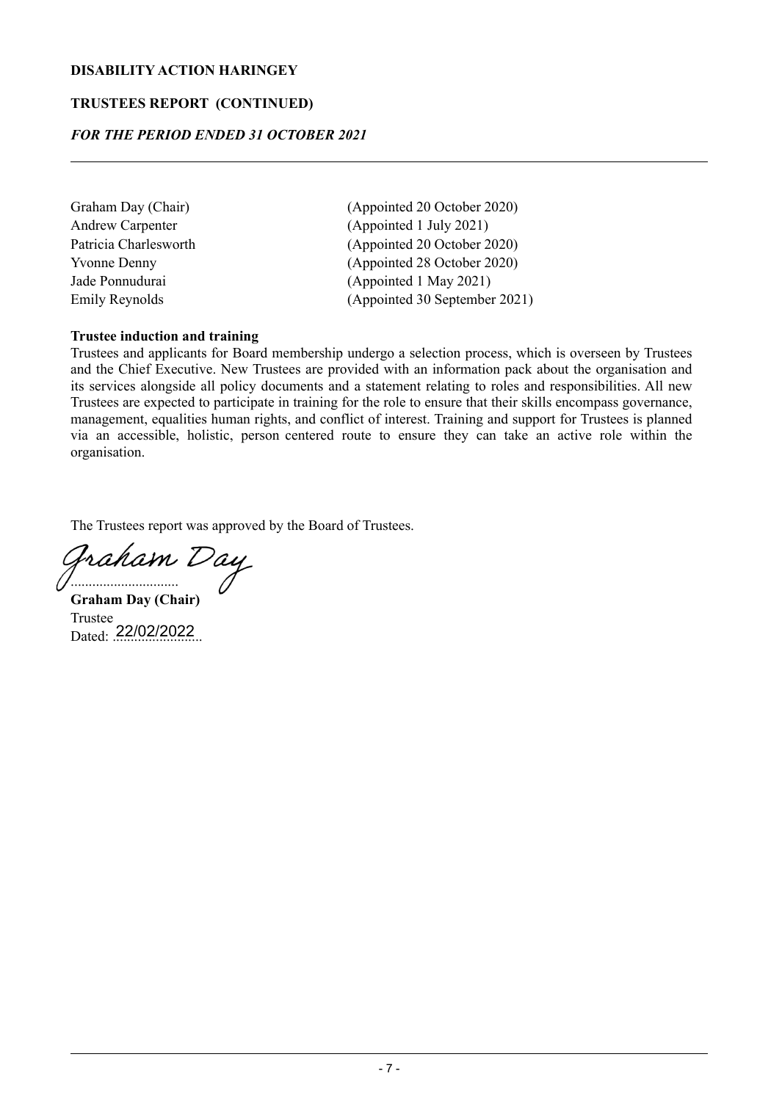## **TRUSTEES REPORT (CONTINUED)**

## *FOR THE PERIOD ENDED 31 OCTOBER 2021*

- 
- Graham Day (Chair) (Appointed 20 October 2020) Andrew Carpenter (Appointed 1 July 2021) Patricia Charlesworth (Appointed 20 October 2020) Yvonne Denny (Appointed 28 October 2020) Jade Ponnudurai (Appointed 1 May 2021) Emily Reynolds (Appointed 30 September 2021)

## **Trustee induction and training**

Trustees and applicants for Board membership undergo a selection process, which is overseen by Trustees and the Chief Executive. New Trustees are provided with an information pack about the organisation and its services alongside all policy documents and a statement relating to roles and responsibilities. All new Trustees are expected to participate in training for the role to ensure that their skills encompass governance, management, equalities human rights, and conflict of interest. Training and support for Trustees is planned via an accessible, holistic, person centered route to ensure they can take an active role within the organisation.

The Trustees report was approved by the Board of Trustees.

fraham Day ..............................

**Graham Day (Chair)** Trustee Dated: 22/02/2022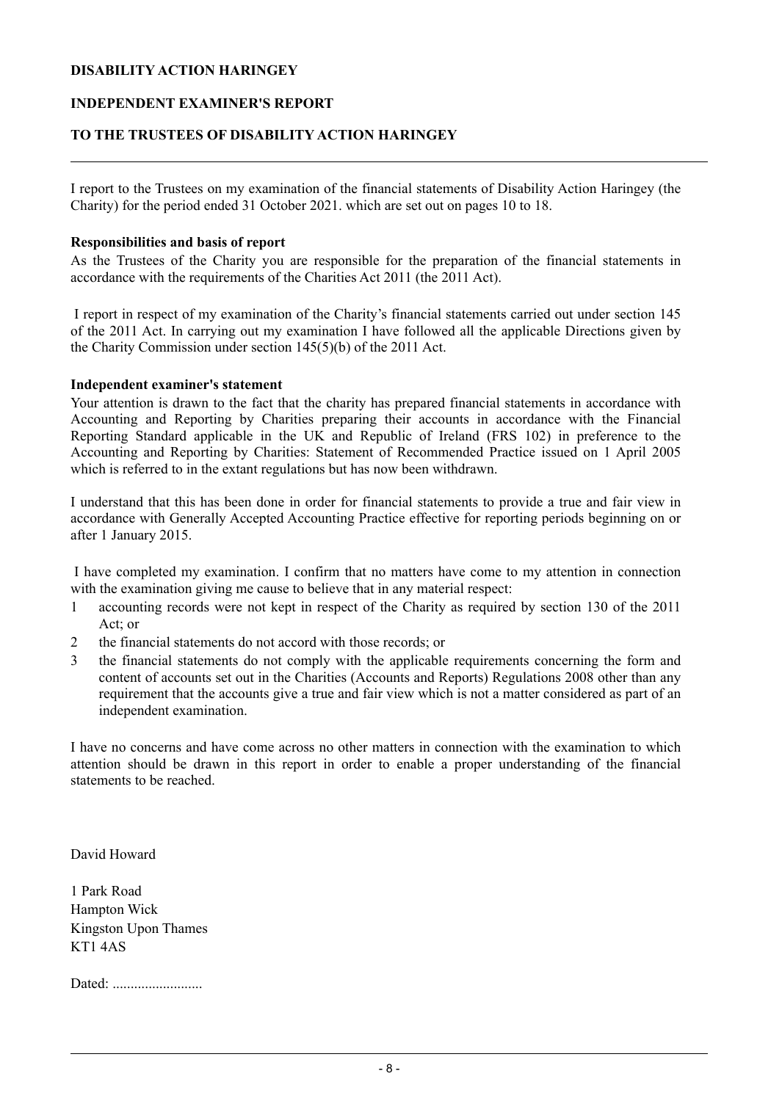### **INDEPENDENT EXAMINER'S REPORT**

## **TO THE TRUSTEES OF DISABILITY ACTION HARINGEY**

I report to the Trustees on my examination of the financial statements of Disability Action Haringey (the Charity) for the period ended 31 October 2021. which are set out on pages 10 to 18.

#### **Responsibilities and basis of report**

As the Trustees of the Charity you are responsible for the preparation of the financial statements in accordance with the requirements of the Charities Act 2011 (the 2011 Act).

I report in respect of my examination of the Charity's financial statements carried out under section 145 of the 2011 Act. In carrying out my examination I have followed all the applicable Directions given by the Charity Commission under section 145(5)(b) of the 2011 Act.

#### **Independent examiner's statement**

Your attention is drawn to the fact that the charity has prepared financial statements in accordance with Accounting and Reporting by Charities preparing their accounts in accordance with the Financial Reporting Standard applicable in the UK and Republic of Ireland (FRS 102) in preference to the Accounting and Reporting by Charities: Statement of Recommended Practice issued on 1 April 2005 which is referred to in the extant regulations but has now been withdrawn.

I understand that this has been done in order for financial statements to provide a true and fair view in accordance with Generally Accepted Accounting Practice effective for reporting periods beginning on or after 1 January 2015.

I have completed my examination. I confirm that no matters have come to my attention in connection with the examination giving me cause to believe that in any material respect:

- 1 accounting records were not kept in respect of the Charity as required by section 130 of the 2011 Act; or
- 2 the financial statements do not accord with those records; or
- 3 the financial statements do not comply with the applicable requirements concerning the form and content of accounts set out in the Charities (Accounts and Reports) Regulations 2008 other than any requirement that the accounts give a true and fair view which is not a matter considered as part of an independent examination.

I have no concerns and have come across no other matters in connection with the examination to which attention should be drawn in this report in order to enable a proper understanding of the financial statements to be reached.

David Howard

1 Park Road Hampton Wick Kingston Upon Thames KT1 4AS

Dated: .........................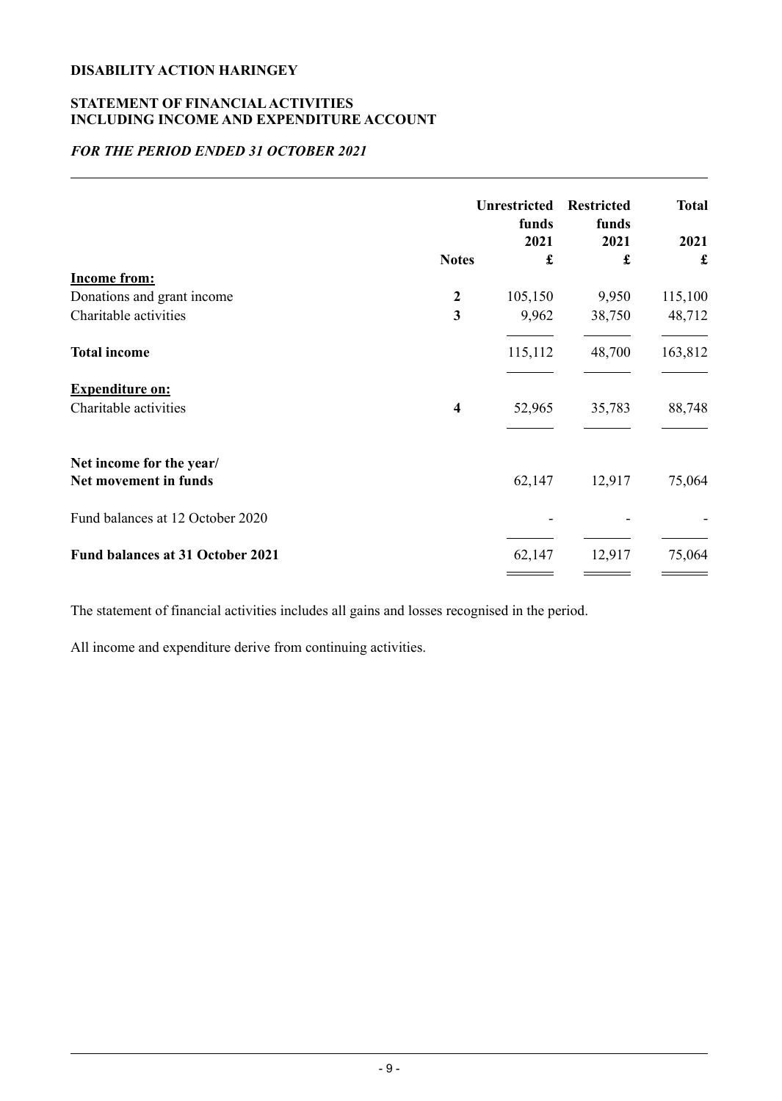# **STATEMENT OF FINANCIALACTIVITIES INCLUDING INCOME AND EXPENDITURE ACCOUNT**

# *FOR THE PERIOD ENDED 31 OCTOBER 2021*

|                                                   | <b>Unrestricted</b><br>funds |           | <b>Restricted</b><br>funds | <b>Total</b> |
|---------------------------------------------------|------------------------------|-----------|----------------------------|--------------|
|                                                   | <b>Notes</b>                 | 2021<br>£ | 2021<br>£                  | 2021<br>£    |
| <b>Income from:</b>                               |                              |           |                            |              |
| Donations and grant income                        | $\boldsymbol{2}$             | 105,150   | 9,950                      | 115,100      |
| Charitable activities                             | 3                            | 9,962     | 38,750                     | 48,712       |
| <b>Total income</b>                               |                              | 115,112   | 48,700                     | 163,812      |
| <b>Expenditure on:</b>                            |                              |           |                            |              |
| Charitable activities                             | $\overline{\mathbf{4}}$      | 52,965    | 35,783                     | 88,748       |
| Net income for the year/<br>Net movement in funds |                              | 62,147    | 12,917                     | 75,064       |
| Fund balances at 12 October 2020                  |                              |           |                            |              |
| <b>Fund balances at 31 October 2021</b>           |                              | 62,147    | 12,917                     | 75,064       |

The statement of financial activities includes all gains and losses recognised in the period.

All income and expenditure derive from continuing activities.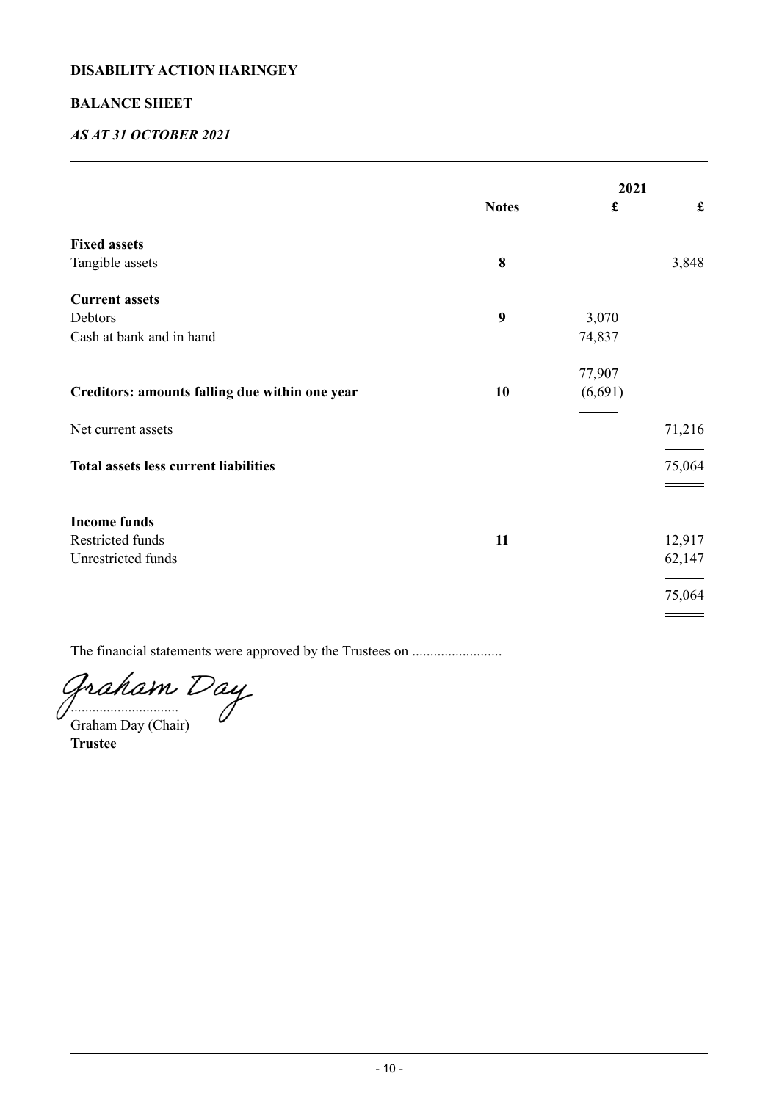## **BALANCE SHEET**

# *AS AT 31 OCTOBER 2021*

|                                                |                  | 2021                 |                    |
|------------------------------------------------|------------------|----------------------|--------------------|
|                                                | <b>Notes</b>     | $\pmb{\mathfrak{L}}$ | $\pmb{\mathbf{f}}$ |
| <b>Fixed assets</b>                            |                  |                      |                    |
| Tangible assets                                | 8                |                      | 3,848              |
| <b>Current assets</b>                          |                  |                      |                    |
| Debtors                                        | $\boldsymbol{9}$ | 3,070                |                    |
| Cash at bank and in hand                       |                  | 74,837               |                    |
|                                                |                  | 77,907               |                    |
| Creditors: amounts falling due within one year | 10               | (6,691)              |                    |
| Net current assets                             |                  |                      | 71,216             |
| <b>Total assets less current liabilities</b>   |                  |                      | 75,064             |
|                                                |                  |                      |                    |
| <b>Income funds</b>                            |                  |                      |                    |
| Restricted funds                               | 11               |                      | 12,917             |
| Unrestricted funds                             |                  |                      | 62,147             |
|                                                |                  |                      | 75,064             |
|                                                |                  |                      |                    |

The financial statements were approved by the Trustees on .........................

Graham Day

Graham Day (Chair)

**Trustee**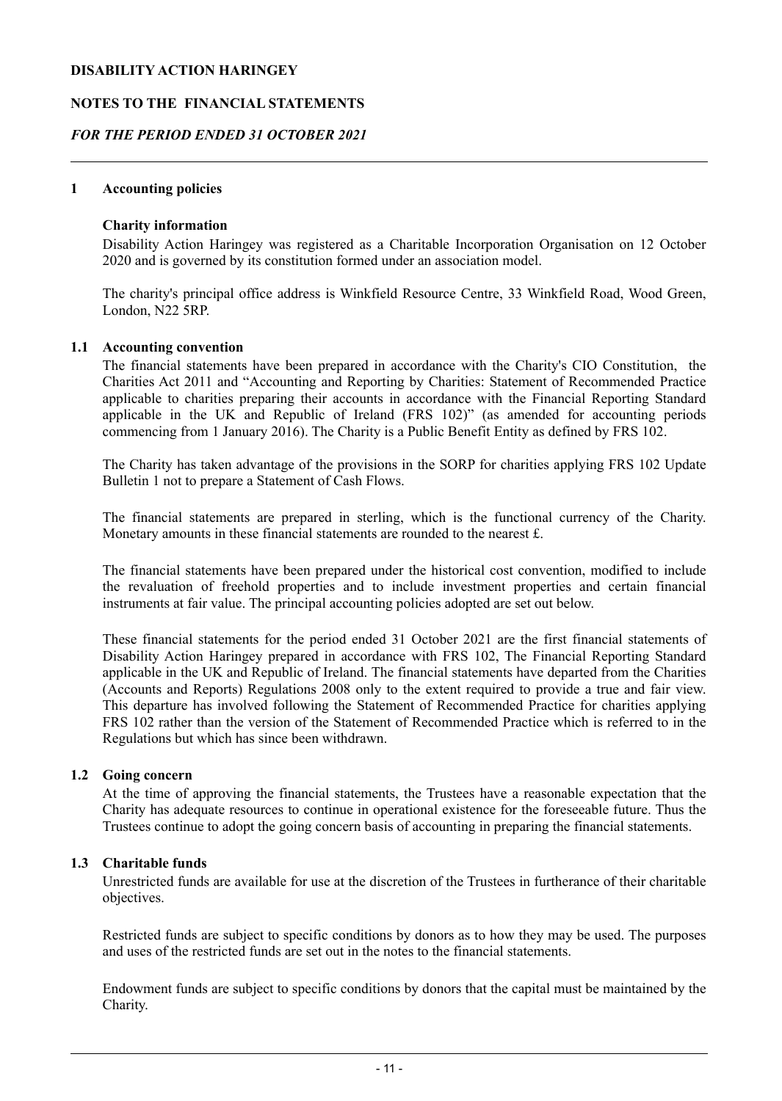### **NOTES TO THE FINANCIAL STATEMENTS**

## *FOR THE PERIOD ENDED 31 OCTOBER 2021*

#### **1 Accounting policies**

#### **Charity information**

Disability Action Haringey was registered as a Charitable Incorporation Organisation on 12 October 2020 and is governed by its constitution formed under an association model.

The charity's principal office address is Winkfield Resource Centre, 33 Winkfield Road, Wood Green, London, N22 5RP.

#### **1.1 Accounting convention**

The financial statements have been prepared in accordance with the Charity's CIO Constitution, the Charities Act 2011 and "Accounting and Reporting by Charities: Statement of Recommended Practice applicable to charities preparing their accounts in accordance with the Financial Reporting Standard applicable in the UK and Republic of Ireland (FRS 102)" (as amended for accounting periods commencing from 1 January 2016). The Charity is a Public Benefit Entity as defined by FRS 102.

The Charity has taken advantage of the provisions in the SORP for charities applying FRS 102 Update Bulletin 1 not to prepare a Statement of Cash Flows.

The financial statements are prepared in sterling, which is the functional currency of the Charity. Monetary amounts in these financial statements are rounded to the nearest £.

The financial statements have been prepared under the historical cost convention, modified to include the revaluation of freehold properties and to include investment properties and certain financial instruments at fair value. The principal accounting policies adopted are set out below.

These financial statements for the period ended 31 October 2021 are the first financial statements of Disability Action Haringey prepared in accordance with FRS 102, The Financial Reporting Standard applicable in the UK and Republic of Ireland. The financial statements have departed from the Charities (Accounts and Reports) Regulations 2008 only to the extent required to provide a true and fair view. This departure has involved following the Statement of Recommended Practice for charities applying FRS 102 rather than the version of the Statement of Recommended Practice which is referred to in the Regulations but which has since been withdrawn.

#### **1.2 Going concern**

At the time of approving the financial statements, the Trustees have a reasonable expectation that the Charity has adequate resources to continue in operational existence for the foreseeable future. Thus the Trustees continue to adopt the going concern basis of accounting in preparing the financial statements.

#### **1.3 Charitable funds**

Unrestricted funds are available for use at the discretion of the Trustees in furtherance of their charitable objectives.

Restricted funds are subject to specific conditions by donors as to how they may be used. The purposes and uses of the restricted funds are set out in the notes to the financial statements.

Endowment funds are subject to specific conditions by donors that the capital must be maintained by the Charity.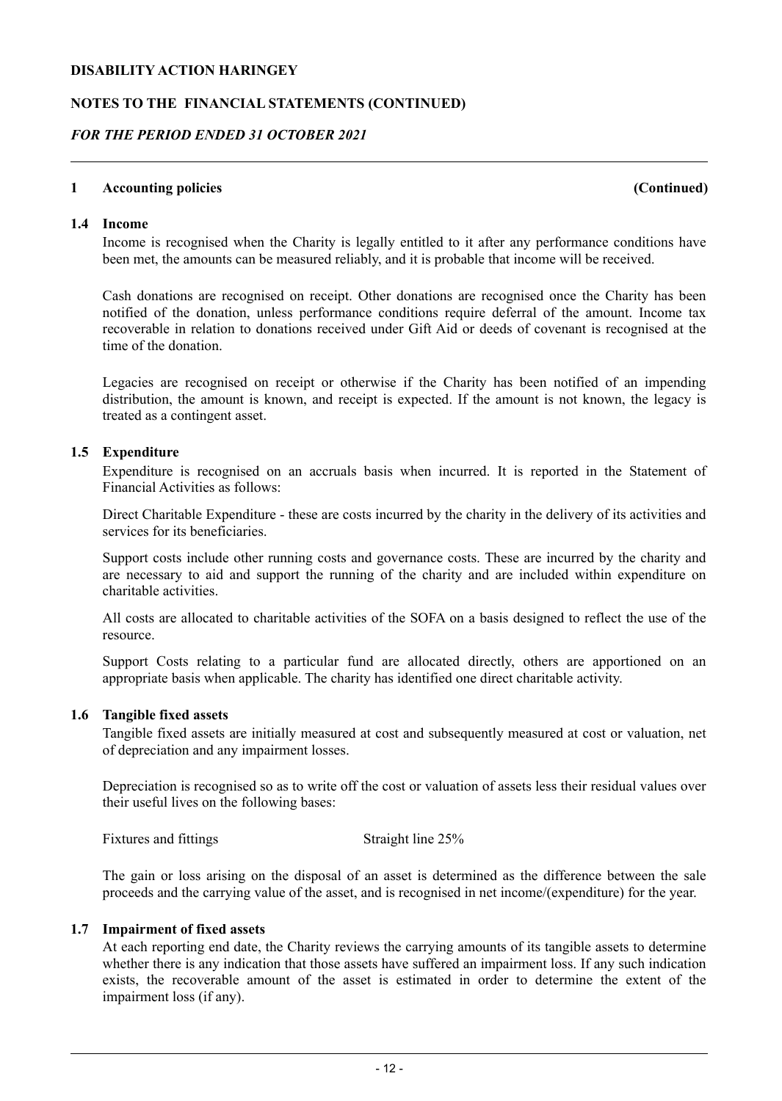#### **NOTES TO THE FINANCIAL STATEMENTS (CONTINUED)**

### *FOR THE PERIOD ENDED 31 OCTOBER 2021*

#### **1 Accounting policies (Continued)**

#### **1.4 Income**

Income is recognised when the Charity is legally entitled to it after any performance conditions have been met, the amounts can be measured reliably, and it is probable that income will be received.

Cash donations are recognised on receipt. Other donations are recognised once the Charity has been notified of the donation, unless performance conditions require deferral of the amount. Income tax recoverable in relation to donations received under Gift Aid or deeds of covenant is recognised at the time of the donation.

Legacies are recognised on receipt or otherwise if the Charity has been notified of an impending distribution, the amount is known, and receipt is expected. If the amount is not known, the legacy is treated as a contingent asset.

#### **1.5 Expenditure**

Expenditure is recognised on an accruals basis when incurred. It is reported in the Statement of Financial Activities as follows:

Direct Charitable Expenditure - these are costs incurred by the charity in the delivery of its activities and services for its beneficiaries.

Support costs include other running costs and governance costs. These are incurred by the charity and are necessary to aid and support the running of the charity and are included within expenditure on charitable activities.

All costs are allocated to charitable activities of the SOFA on a basis designed to reflect the use of the resource.

Support Costs relating to a particular fund are allocated directly, others are apportioned on an appropriate basis when applicable. The charity has identified one direct charitable activity.

#### **1.6 Tangible fixed assets**

Tangible fixed assets are initially measured at cost and subsequently measured at cost or valuation, net of depreciation and any impairment losses.

Depreciation is recognised so as to write off the cost or valuation of assets less their residual values over their useful lives on the following bases:

Fixtures and fittings Straight line 25%

The gain or loss arising on the disposal of an asset is determined as the difference between the sale proceeds and the carrying value of the asset, and is recognised in net income/(expenditure) for the year.

#### **1.7 Impairment of fixed assets**

At each reporting end date, the Charity reviews the carrying amounts of its tangible assets to determine whether there is any indication that those assets have suffered an impairment loss. If any such indication exists, the recoverable amount of the asset is estimated in order to determine the extent of the impairment loss (if any).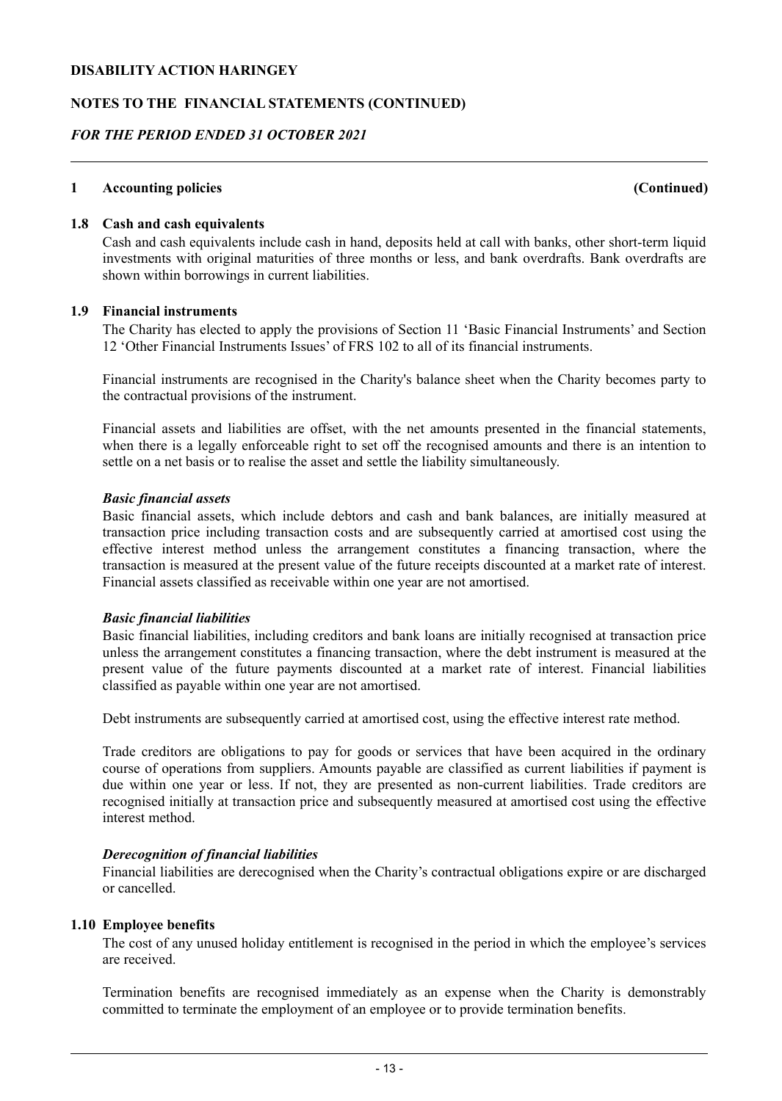## **NOTES TO THE FINANCIAL STATEMENTS (CONTINUED)**

## *FOR THE PERIOD ENDED 31 OCTOBER 2021*

#### **1 Accounting policies (Continued)**

### **1.8 Cash and cash equivalents**

Cash and cash equivalents include cash in hand, deposits held at call with banks, other short-term liquid investments with original maturities of three months or less, and bank overdrafts. Bank overdrafts are shown within borrowings in current liabilities.

#### **1.9 Financial instruments**

The Charity has elected to apply the provisions of Section 11 'Basic Financial Instruments' and Section 12 'Other Financial Instruments Issues' of FRS 102 to all of its financial instruments.

Financial instruments are recognised in the Charity's balance sheet when the Charity becomes party to the contractual provisions of the instrument.

Financial assets and liabilities are offset, with the net amounts presented in the financial statements, when there is a legally enforceable right to set off the recognised amounts and there is an intention to settle on a net basis or to realise the asset and settle the liability simultaneously.

#### *Basic financial assets*

Basic financial assets, which include debtors and cash and bank balances, are initially measured at transaction price including transaction costs and are subsequently carried at amortised cost using the effective interest method unless the arrangement constitutes a financing transaction, where the transaction is measured at the present value of the future receipts discounted at a market rate of interest. Financial assets classified as receivable within one year are not amortised.

#### *Basic financial liabilities*

Basic financial liabilities, including creditors and bank loans are initially recognised at transaction price unless the arrangement constitutes a financing transaction, where the debt instrument is measured at the present value of the future payments discounted at a market rate of interest. Financial liabilities classified as payable within one year are not amortised.

Debt instruments are subsequently carried at amortised cost, using the effective interest rate method.

Trade creditors are obligations to pay for goods or services that have been acquired in the ordinary course of operations from suppliers. Amounts payable are classified as current liabilities if payment is due within one year or less. If not, they are presented as non-current liabilities. Trade creditors are recognised initially at transaction price and subsequently measured at amortised cost using the effective interest method.

#### *Derecognition of financial liabilities*

Financial liabilities are derecognised when the Charity's contractual obligations expire or are discharged or cancelled.

#### **1.10 Employee benefits**

The cost of any unused holiday entitlement is recognised in the period in which the employee's services are received.

Termination benefits are recognised immediately as an expense when the Charity is demonstrably committed to terminate the employment of an employee or to provide termination benefits.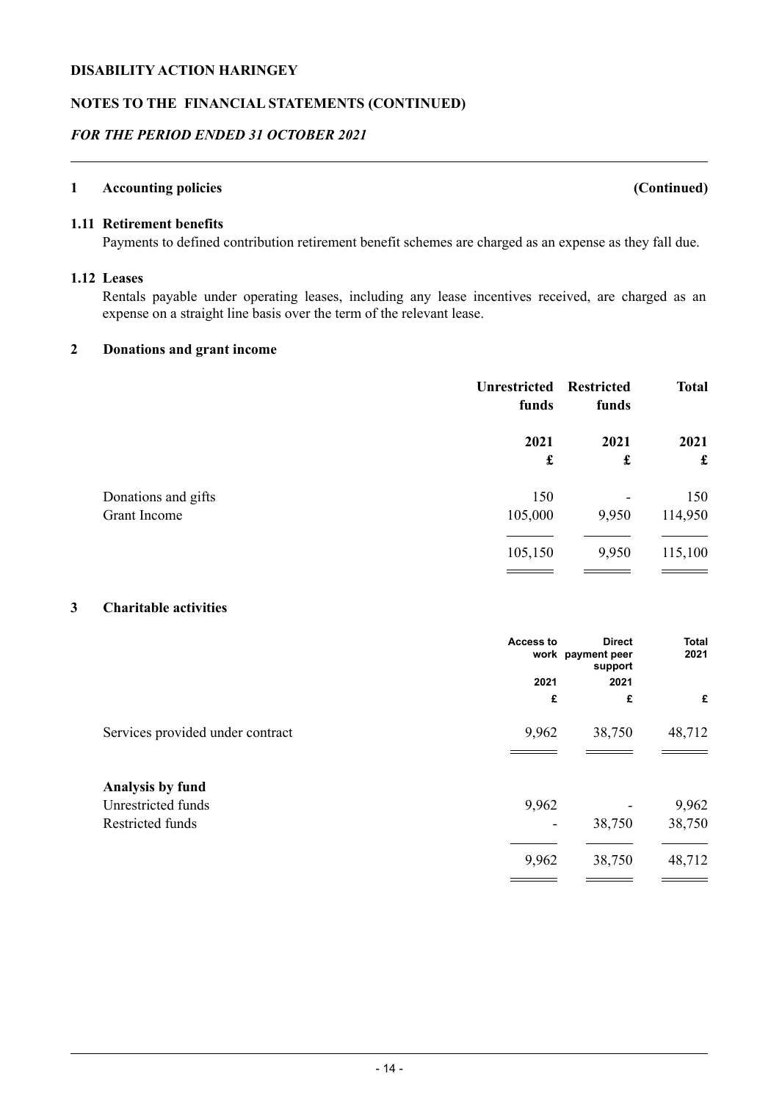#### **NOTES TO THE FINANCIAL STATEMENTS (CONTINUED)**

## *FOR THE PERIOD ENDED 31 OCTOBER 2021*

#### **1 Accounting policies (Continued)**

# **1.11 Retirement benefits**

Payments to defined contribution retirement benefit schemes are charged as an expense as they fall due.

#### **1.12 Leases**

Rentals payable under operating leases, including any lease incentives received, are charged as an expense on a straight line basis over the term of the relevant lease.

#### **2 Donations and grant income**

|                     | <b>Unrestricted</b><br>funds | <b>Restricted</b><br>funds | <b>Total</b> |
|---------------------|------------------------------|----------------------------|--------------|
|                     | 2021                         | 2021                       | 2021         |
|                     | £                            | £                          | $\mathbf f$  |
| Donations and gifts | 150                          | -                          | 150          |
| Grant Income        | 105,000                      | 9,950                      | 114,950      |
|                     | 105,150                      | 9,950                      | 115,100      |

## **3 Charitable activities**

|                                  | Access to | <b>Direct</b><br>work payment peer<br>support | <b>Total</b><br>2021 |
|----------------------------------|-----------|-----------------------------------------------|----------------------|
|                                  | 2021      | 2021                                          |                      |
|                                  | £         | £                                             | £                    |
| Services provided under contract | 9,962     | 38,750                                        | 48,712               |
| Analysis by fund                 |           |                                               |                      |
| Unrestricted funds               | 9,962     |                                               | 9,962                |
| Restricted funds                 |           | 38,750                                        | 38,750               |
|                                  | 9,962     | 38,750                                        | 48,712               |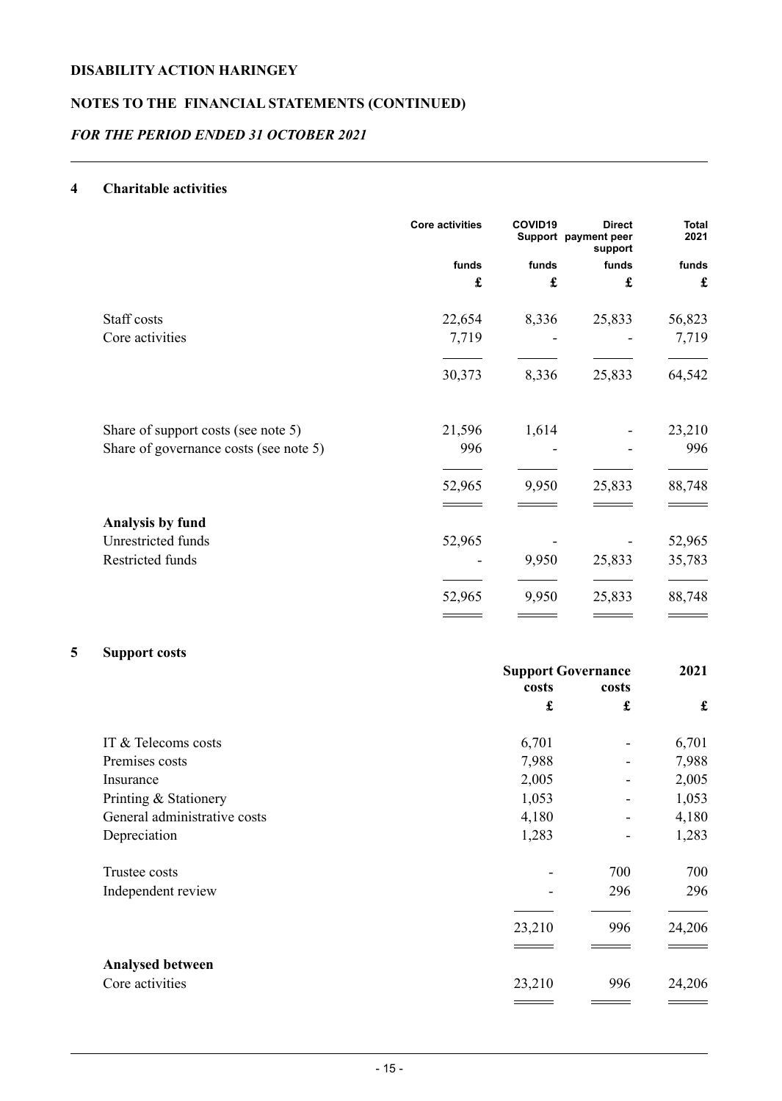# **NOTES TO THE FINANCIAL STATEMENTS (CONTINUED)**

## *FOR THE PERIOD ENDED 31 OCTOBER 2021*

## **4 Charitable activities**

|                                        | <b>Core activities</b> | COVID <sub>19</sub> | <b>Direct</b><br>Support payment peer<br>support | <b>Total</b><br>2021 |
|----------------------------------------|------------------------|---------------------|--------------------------------------------------|----------------------|
|                                        | funds                  | funds               | funds                                            | funds                |
|                                        | £                      | £                   | £                                                | £                    |
| Staff costs                            | 22,654                 | 8,336               | 25,833                                           | 56,823               |
| Core activities                        | 7,719                  |                     |                                                  | 7,719                |
|                                        | 30,373                 | 8,336               | 25,833                                           | 64,542               |
| Share of support costs (see note 5)    | 21,596                 | 1,614               |                                                  | 23,210               |
| Share of governance costs (see note 5) | 996                    |                     |                                                  | 996                  |
|                                        | 52,965                 | 9,950               | 25,833                                           | 88,748               |
| Analysis by fund                       |                        |                     |                                                  |                      |
| Unrestricted funds                     | 52,965                 |                     |                                                  | 52,965               |
| Restricted funds                       |                        | 9,950               | 25,833                                           | 35,783               |
|                                        | 52,965                 | 9,950               | 25,833                                           | 88,748               |
|                                        |                        |                     |                                                  |                      |

# **5 Support costs**

|                              | <b>Support Governance</b> |                      | 2021        |
|------------------------------|---------------------------|----------------------|-------------|
|                              | costs                     | costs                |             |
|                              | £                         | $\pmb{\mathfrak{L}}$ | $\mathbf f$ |
| IT & Telecoms costs          | 6,701                     |                      | 6,701       |
| Premises costs               | 7,988                     |                      | 7,988       |
| Insurance                    | 2,005                     |                      | 2,005       |
| Printing & Stationery        | 1,053                     |                      | 1,053       |
| General administrative costs | 4,180                     |                      | 4,180       |
| Depreciation                 | 1,283                     |                      | 1,283       |
| Trustee costs                |                           | 700                  | 700         |
| Independent review           |                           | 296                  | 296         |
|                              | 23,210                    | 996                  | 24,206      |
|                              |                           |                      |             |
| <b>Analysed between</b>      |                           |                      |             |
| Core activities              | 23,210                    | 996                  | 24,206      |
|                              |                           |                      |             |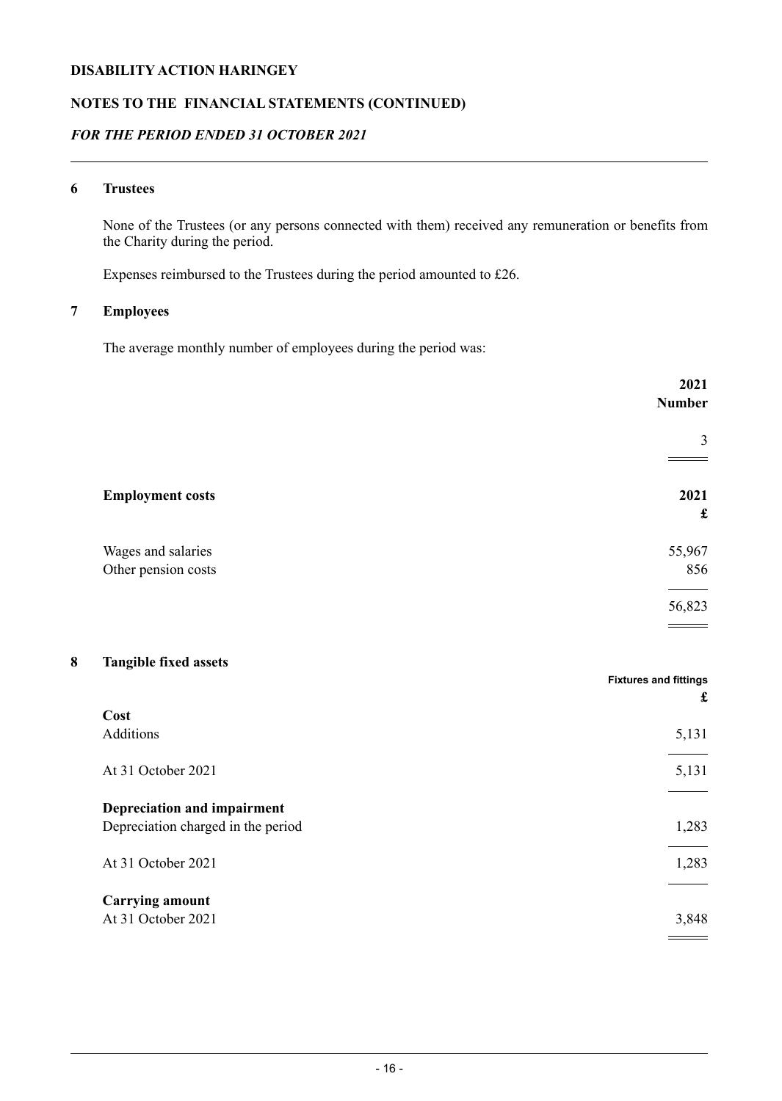## **NOTES TO THE FINANCIAL STATEMENTS (CONTINUED)**

## *FOR THE PERIOD ENDED 31 OCTOBER 2021*

## **6 Trustees**

None of the Trustees (or any persons connected with them) received any remuneration or benefits from the Charity during the period.

Expenses reimbursed to the Trustees during the period amounted to £26.

# **7 Employees**

The average monthly number of employees during the period was:

|                                           | 2021<br>Number |
|-------------------------------------------|----------------|
|                                           | 3              |
| <b>Employment costs</b>                   | 2021<br>£      |
| Wages and salaries<br>Other pension costs | 55,967<br>856  |
|                                           | 56,823         |

## **8 Tangible fixed assets**

|                                    | <b>Fixtures and fittings</b><br>£ |
|------------------------------------|-----------------------------------|
| Cost                               |                                   |
| Additions                          | 5,131                             |
| At 31 October 2021                 | 5,131                             |
| Depreciation and impairment        |                                   |
| Depreciation charged in the period | 1,283                             |
| At 31 October 2021                 | 1,283                             |
| <b>Carrying amount</b>             |                                   |
| At 31 October 2021                 | 3,848                             |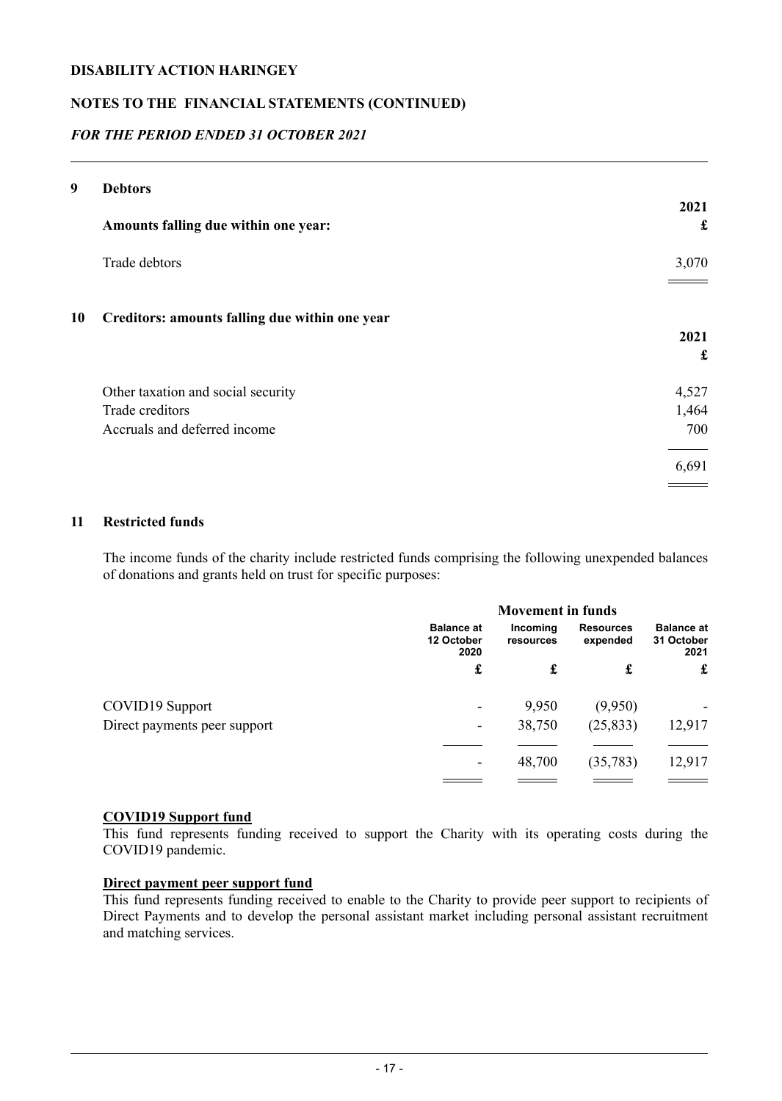## **NOTES TO THE FINANCIAL STATEMENTS (CONTINUED)**

## *FOR THE PERIOD ENDED 31 OCTOBER 2021*

| 9  | <b>Debtors</b>                                 |           |
|----|------------------------------------------------|-----------|
|    | Amounts falling due within one year:           | 2021<br>£ |
|    | Trade debtors                                  | 3,070     |
| 10 | Creditors: amounts falling due within one year |           |
|    |                                                | 2021      |
|    |                                                | £         |
|    | Other taxation and social security             | 4,527     |
|    | Trade creditors                                | 1,464     |
|    | Accruals and deferred income                   | 700       |
|    |                                                | 6,691     |
|    |                                                |           |

### **11 Restricted funds**

The income funds of the charity include restricted funds comprising the following unexpended balances of donations and grants held on trust for specific purposes:

|                              |                                         | <b>Movement in funds</b> |                              |                                         |
|------------------------------|-----------------------------------------|--------------------------|------------------------------|-----------------------------------------|
|                              | <b>Balance at</b><br>12 October<br>2020 | Incoming<br>resources    | <b>Resources</b><br>expended | <b>Balance at</b><br>31 October<br>2021 |
|                              | £                                       | £                        | £                            | £                                       |
| COVID19 Support              | ۰                                       | 9,950                    | (9,950)                      | ۰                                       |
| Direct payments peer support | ۰                                       | 38,750                   | (25, 833)                    | 12,917                                  |
|                              |                                         |                          |                              |                                         |
|                              | ۰                                       | 48,700                   | (35,783)                     | 12,917                                  |
|                              |                                         |                          |                              |                                         |

#### **COVID19 Support fund**

This fund represents funding received to support the Charity with its operating costs during the COVID19 pandemic.

# **Direct payment peer support fund**

This fund represents funding received to enable to the Charity to provide peer support to recipients of Direct Payments and to develop the personal assistant market including personal assistant recruitment and matching services.